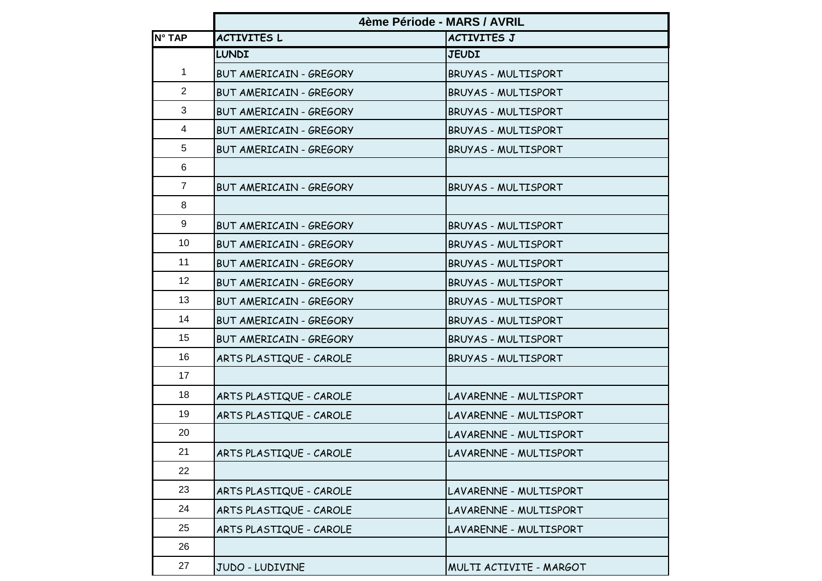|                | 4ème Période - MARS / AVRIL    |                            |
|----------------|--------------------------------|----------------------------|
| N° TAP         | <b>ACTIVITES L</b>             | <b>ACTIVITES J</b>         |
|                | <b>LUNDI</b>                   | <b>JEUDI</b>               |
| 1              | <b>BUT AMERICAIN - GREGORY</b> | <b>BRUYAS - MULTISPORT</b> |
| $\overline{2}$ | <b>BUT AMERICAIN - GREGORY</b> | BRUYAS - MULTISPORT        |
| 3              | <b>BUT AMERICAIN - GREGORY</b> | BRUYAS - MULTISPORT        |
| 4              | <b>BUT AMERICAIN - GREGORY</b> | BRUYAS - MULTISPORT        |
| 5              | <b>BUT AMERICAIN - GREGORY</b> | <b>BRUYAS - MULTISPORT</b> |
| 6              |                                |                            |
| $\overline{7}$ | BUT AMERICAIN - GREGORY        | <b>BRUYAS - MULTISPORT</b> |
| 8              |                                |                            |
| 9              | <b>BUT AMERICAIN - GREGORY</b> | <b>BRUYAS - MULTISPORT</b> |
| 10             | BUT AMERICAIN - GREGORY        | BRUYAS - MULTISPORT        |
| 11             | <b>BUT AMERICAIN - GREGORY</b> | BRUYAS - MULTISPORT        |
| 12             | <b>BUT AMERICAIN - GREGORY</b> | BRUYAS - MULTISPORT        |
| 13             | <b>BUT AMERICAIN - GREGORY</b> | <b>BRUYAS - MULTISPORT</b> |
| 14             | <b>BUT AMERICAIN - GREGORY</b> | BRUYAS - MULTISPORT        |
| 15             | BUT AMERICAIN - GREGORY        | BRUYAS - MULTISPORT        |
| 16             | ARTS PLASTIQUE - CAROLE        | BRUYAS - MULTISPORT        |
| 17             |                                |                            |
| 18             | ARTS PLASTIQUE - CAROLE        | LAVARENNE - MULTISPORT     |
| 19             | ARTS PLASTIQUE - CAROLE        | LAVARENNE - MULTISPORT     |
| 20             |                                | LAVARENNE - MULTISPORT     |
| 21             | ARTS PLASTIQUE - CAROLE        | LAVARENNE - MULTISPORT     |
| 22             |                                |                            |
| 23             | ARTS PLASTIQUE - CAROLE        | LAVARENNE - MULTISPORT     |
| 24             | ARTS PLASTIQUE - CAROLE        | LAVARENNE - MULTISPORT     |
| 25             | ARTS PLASTIQUE - CAROLE        | LAVARENNE - MULTISPORT     |
| 26             |                                |                            |
| 27             | JUDO - LUDIVINE                | MULTI ACTIVITE - MARGOT    |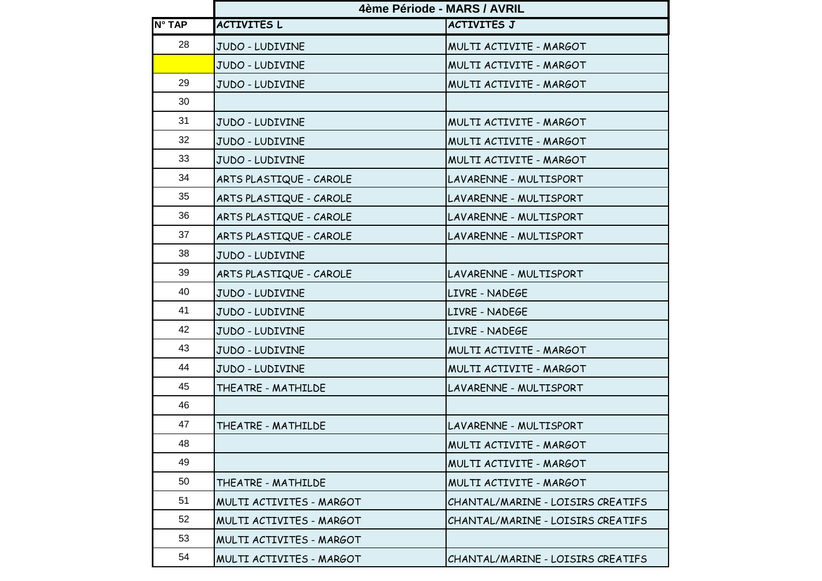|        | 4ème Période - MARS / AVRIL |                                   |
|--------|-----------------------------|-----------------------------------|
| N° TAP | <b>ACTIVITES L</b>          | <b>ACTIVITES J</b>                |
| 28     | JUDO - LUDIVINE             | MULTI ACTIVITE - MARGOT           |
|        | JUDO - LUDIVINE             | MULTI ACTIVITE - MARGOT           |
| 29     | JUDO - LUDIVINE             | MULTI ACTIVITE - MARGOT           |
| 30     |                             |                                   |
| 31     | JUDO - LUDIVINE             | MULTI ACTIVITE - MARGOT           |
| 32     | JUDO - LUDIVINE             | MULTI ACTIVITE - MARGOT           |
| 33     | JUDO - LUDIVINE             | MULTI ACTIVITE - MARGOT           |
| 34     | ARTS PLASTIQUE - CAROLE     | LAVARENNE - MULTISPORT            |
| 35     | ARTS PLASTIQUE - CAROLE     | LAVARENNE - MULTISPORT            |
| 36     | ARTS PLASTIQUE - CAROLE     | LAVARENNE - MULTISPORT            |
| 37     | ARTS PLASTIQUE - CAROLE     | LAVARENNE - MULTISPORT            |
| 38     | JUDO - LUDIVINE             |                                   |
| 39     | ARTS PLASTIQUE - CAROLE     | LAVARENNE - MULTISPORT            |
| 40     | JUDO - LUDIVINE             | LIVRE - NADEGE                    |
| 41     | JUDO - LUDIVINE             | LIVRE - NADEGE                    |
| 42     | JUDO - LUDIVINE             | LIVRE - NADEGE                    |
| 43     | JUDO - LUDIVINE             | MULTI ACTIVITE - MARGOT           |
| 44     | JUDO - LUDIVINE             | MULTI ACTIVITE - MARGOT           |
| 45     | THEATRE - MATHILDE          | LAVARENNE - MULTISPORT            |
| 46     |                             |                                   |
| 47     | THEATRE - MATHILDE          | LAVARENNE - MULTISPORT            |
| 48     |                             | MULTI ACTIVITE - MARGOT           |
| 49     |                             | MULTI ACTIVITE - MARGOT           |
| 50     | THEATRE - MATHILDE          | MULTI ACTIVITE - MARGOT           |
| 51     | MULTI ACTIVITES - MARGOT    | CHANTAL/MARINE - LOISIRS CREATIFS |
| 52     | MULTI ACTIVITES - MARGOT    | CHANTAL/MARINE - LOISIRS CREATIFS |
| 53     | MULTI ACTIVITES - MARGOT    |                                   |
| 54     | MULTI ACTIVITES - MARGOT    | CHANTAL/MARINE - LOISIRS CREATIFS |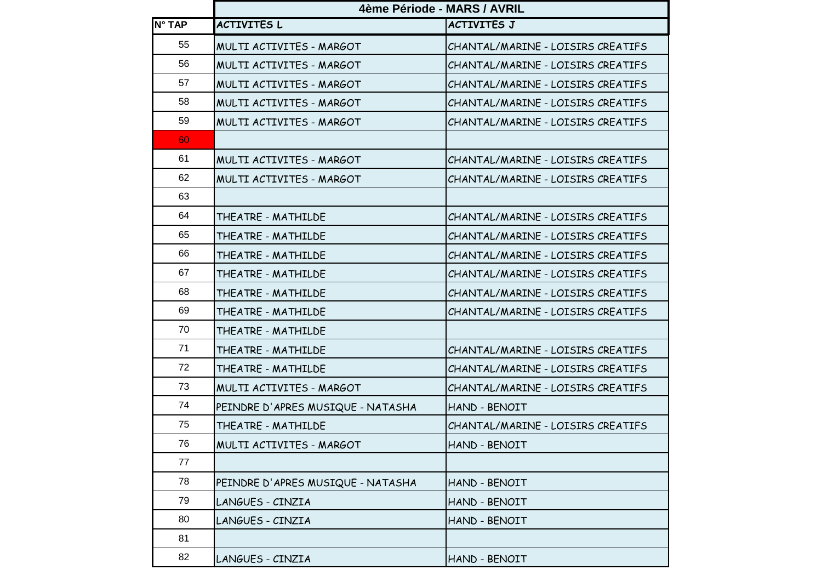|        | 4ème Période - MARS / AVRIL       |                                   |
|--------|-----------------------------------|-----------------------------------|
| N° TAP | <b>ACTIVITES L</b>                | <b>ACTIVITES J</b>                |
| 55     | MULTI ACTIVITES - MARGOT          | CHANTAL/MARINE - LOISIRS CREATIFS |
| 56     | MULTI ACTIVITES - MARGOT          | CHANTAL/MARINE - LOISIRS CREATIFS |
| 57     | MULTI ACTIVITES - MARGOT          | CHANTAL/MARINE - LOISIRS CREATIFS |
| 58     | MULTI ACTIVITES - MARGOT          | CHANTAL/MARINE - LOISIRS CREATIFS |
| 59     | MULTI ACTIVITES - MARGOT          | CHANTAL/MARINE - LOISIRS CREATIFS |
| 60     |                                   |                                   |
| 61     | MULTI ACTIVITES - MARGOT          | CHANTAL/MARINE - LOISIRS CREATIFS |
| 62     | MULTI ACTIVITES - MARGOT          | CHANTAL/MARINE - LOISIRS CREATIFS |
| 63     |                                   |                                   |
| 64     | THEATRE - MATHILDE                | CHANTAL/MARINE - LOISIRS CREATIFS |
| 65     | THEATRE - MATHILDE                | CHANTAL/MARINE - LOISIRS CREATIFS |
| 66     | THEATRE - MATHILDE                | CHANTAL/MARINE - LOISIRS CREATIFS |
| 67     | THEATRE - MATHILDE                | CHANTAL/MARINE - LOISIRS CREATIFS |
| 68     | THEATRE - MATHILDE                | CHANTAL/MARINE - LOISIRS CREATIFS |
| 69     | THEATRE - MATHILDE                | CHANTAL/MARINE - LOISIRS CREATIFS |
| 70     | THEATRE - MATHILDE                |                                   |
| 71     | THEATRE - MATHILDE                | CHANTAL/MARINE - LOISIRS CREATIFS |
| 72     | THEATRE - MATHILDE                | CHANTAL/MARINE - LOISIRS CREATIFS |
| 73     | MULTI ACTIVITES - MARGOT          | CHANTAL/MARINE - LOISIRS CREATIFS |
| 74     | PEINDRE D'APRES MUSIQUE - NATASHA | HAND - BENOIT                     |
| 75     | THEATRE - MATHILDE                | CHANTAL/MARINE - LOISIRS CREATIFS |
| 76     | MULTI ACTIVITES - MARGOT          | HAND - BENOIT                     |
| 77     |                                   |                                   |
| 78     | PEINDRE D'APRES MUSIQUE - NATASHA | HAND - BENOIT                     |
| 79     | LANGUES - CINZIA                  | HAND - BENOIT                     |
| 80     | LANGUES - CINZIA                  | HAND - BENOIT                     |
| 81     |                                   |                                   |
| 82     | LANGUES - CINZIA                  | HAND - BENOIT                     |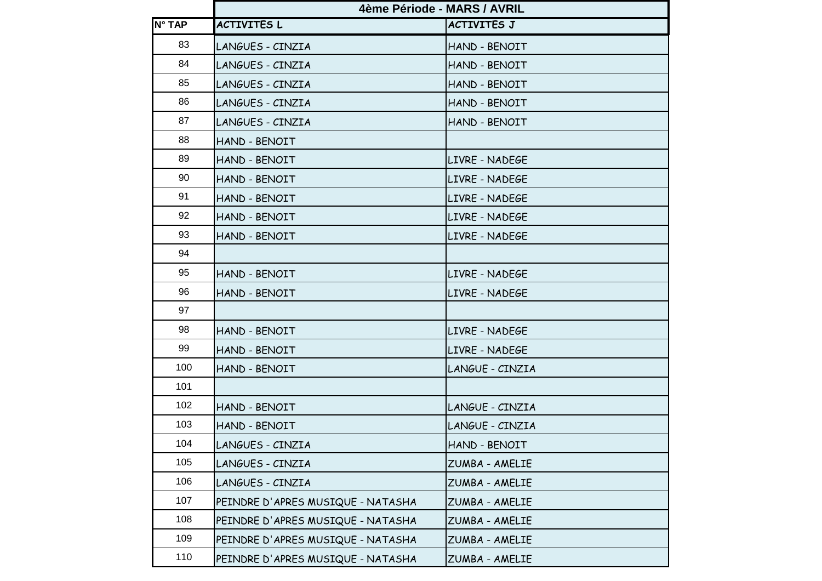|        | 4ème Période - MARS / AVRIL       |                    |
|--------|-----------------------------------|--------------------|
| N° TAP | <b>ACTIVITES L</b>                | <b>ACTIVITES J</b> |
| 83     | LANGUES - CINZIA                  | HAND - BENOIT      |
| 84     | LANGUES - CINZIA                  | HAND - BENOIT      |
| 85     | LANGUES - CINZIA                  | HAND - BENOIT      |
| 86     | LANGUES - CINZIA                  | HAND - BENOIT      |
| 87     | LANGUES - CINZIA                  | HAND - BENOIT      |
| 88     | HAND - BENOIT                     |                    |
| 89     | HAND - BENOIT                     | LIVRE - NADEGE     |
| 90     | HAND - BENOIT                     | LIVRE - NADEGE     |
| 91     | HAND - BENOIT                     | LIVRE - NADEGE     |
| 92     | HAND - BENOIT                     | LIVRE - NADEGE     |
| 93     | HAND - BENOIT                     | LIVRE - NADEGE     |
| 94     |                                   |                    |
| 95     | HAND - BENOIT                     | LIVRE - NADEGE     |
| 96     | HAND - BENOIT                     | LIVRE - NADEGE     |
| 97     |                                   |                    |
| 98     | HAND - BENOIT                     | LIVRE - NADEGE     |
| 99     | HAND - BENOIT                     | LIVRE - NADEGE     |
| 100    | HAND - BENOIT                     | LANGUE - CINZIA    |
| 101    |                                   |                    |
| 102    | HAND - BENOIT                     | LANGUE - CINZIA    |
| 103    | HAND - BENOIT                     | LANGUE - CINZIA    |
| 104    | LANGUES - CINZIA                  | HAND - BENOIT      |
| 105    | LANGUES - CINZIA                  | ZUMBA - AMELIE     |
| 106    | LANGUES - CINZIA                  | ZUMBA - AMELIE     |
| 107    | PEINDRE D'APRES MUSIQUE - NATASHA | ZUMBA - AMELIE     |
| 108    | PEINDRE D'APRES MUSIQUE - NATASHA | ZUMBA - AMELIE     |
| 109    | PEINDRE D'APRES MUSIQUE - NATASHA | ZUMBA - AMELIE     |
| 110    | PEINDRE D'APRES MUSIQUE - NATASHA | ZUMBA - AMELIE     |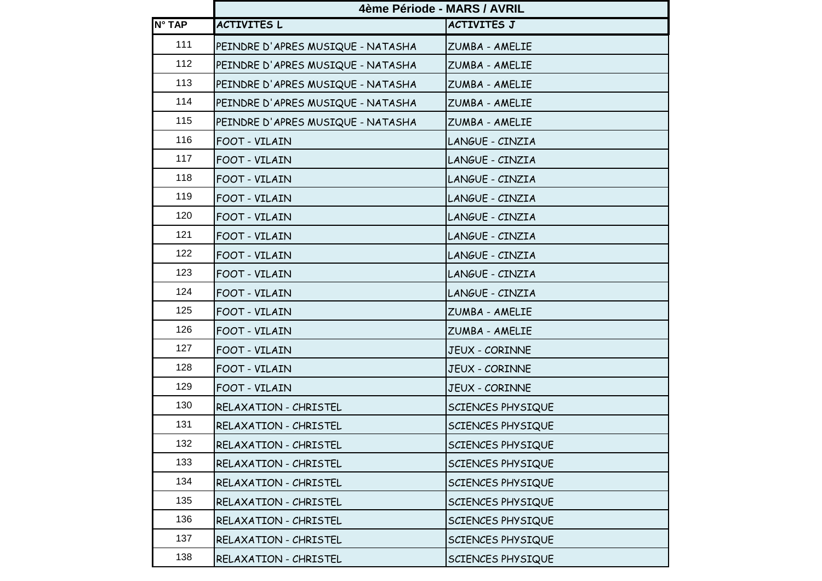|               | 4ème Période - MARS / AVRIL       |                       |
|---------------|-----------------------------------|-----------------------|
| <b>N° TAP</b> | <b>ACTIVITES L</b>                | <b>ACTIVITES J</b>    |
| 111           | PEINDRE D'APRES MUSIQUE - NATASHA | ZUMBA - AMELIE        |
| 112           | PEINDRE D'APRES MUSIQUE - NATASHA | ZUMBA - AMELIE        |
| 113           | PEINDRE D'APRES MUSIQUE - NATASHA | ZUMBA - AMELIE        |
| 114           | PEINDRE D'APRES MUSIQUE - NATASHA | ZUMBA - AMELIE        |
| 115           | PEINDRE D'APRES MUSIQUE - NATASHA | ZUMBA - AMELIE        |
| 116           | FOOT - VILAIN                     | LANGUE - CINZIA       |
| 117           | FOOT - VILAIN                     | LANGUE - CINZIA       |
| 118           | FOOT - VILAIN                     | LANGUE - CINZIA       |
| 119           | FOOT - VILAIN                     | LANGUE - CINZIA       |
| 120           | FOOT - VILAIN                     | LANGUE - CINZIA       |
| 121           | FOOT - VILAIN                     | LANGUE - CINZIA       |
| 122           | FOOT - VILAIN                     | LANGUE - CINZIA       |
| 123           | FOOT - VILAIN                     | LANGUE - CINZIA       |
| 124           | FOOT - VILAIN                     | LANGUE - CINZIA       |
| 125           | FOOT - VILAIN                     | ZUMBA - AMELIE        |
| 126           | FOOT - VILAIN                     | ZUMBA - AMELIE        |
| 127           | FOOT - VILAIN                     | JEUX - CORINNE        |
| 128           | FOOT - VILAIN                     | JEUX - CORINNE        |
| 129           | FOOT - VILAIN                     | <b>JEUX - CORINNE</b> |
| 130           | RELAXATION - CHRISTEL             | SCIENCES PHYSIQUE     |
| 131           | RELAXATION - CHRISTEL             | SCIENCES PHYSIQUE     |
| 132           | RELAXATION - CHRISTEL             | SCIENCES PHYSIQUE     |
| 133           | RELAXATION - CHRISTEL             | SCIENCES PHYSIQUE     |
| 134           | RELAXATION - CHRISTEL             | SCIENCES PHYSIQUE     |
| 135           | RELAXATION - CHRISTEL             | SCIENCES PHYSIQUE     |
| 136           | RELAXATION - CHRISTEL             | SCIENCES PHYSIQUE     |
| 137           | RELAXATION - CHRISTEL             | SCIENCES PHYSIQUE     |
| 138           | RELAXATION - CHRISTEL             | SCIENCES PHYSIQUE     |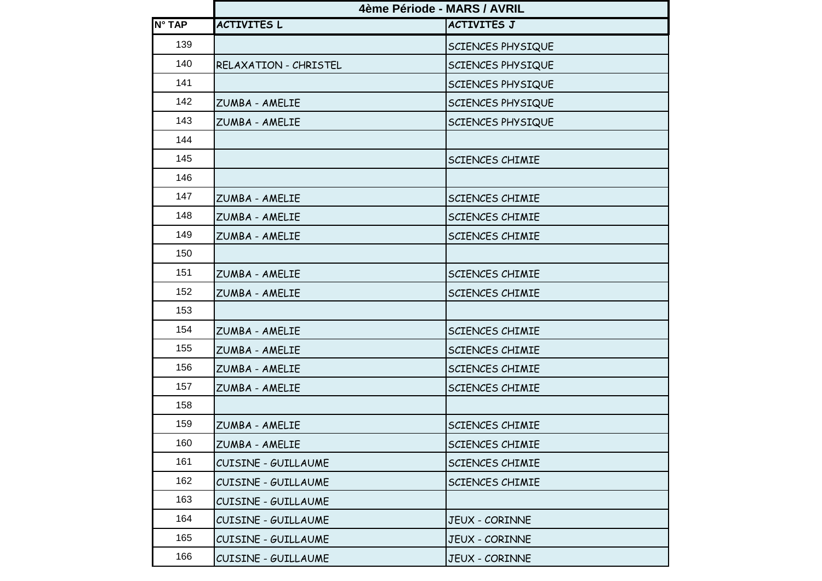|               | 4ème Période - MARS / AVRIL |                        |
|---------------|-----------------------------|------------------------|
| <b>N° TAP</b> | <b>ACTIVITES L</b>          | <b>ACTIVITES J</b>     |
| 139           |                             | SCIENCES PHYSIQUE      |
| 140           | RELAXATION - CHRISTEL       | SCIENCES PHYSIQUE      |
| 141           |                             | SCIENCES PHYSIQUE      |
| 142           | ZUMBA - AMELIE              | SCIENCES PHYSIQUE      |
| 143           | ZUMBA - AMELIE              | SCIENCES PHYSIQUE      |
| 144           |                             |                        |
| 145           |                             | SCIENCES CHIMIE        |
| 146           |                             |                        |
| 147           | ZUMBA - AMELIE              | SCIENCES CHIMIE        |
| 148           | ZUMBA - AMELIE              | SCIENCES CHIMIE        |
| 149           | ZUMBA - AMELIE              | <b>SCIENCES CHIMIE</b> |
| 150           |                             |                        |
| 151           | ZUMBA - AMELIE              | SCIENCES CHIMIE        |
| 152           | ZUMBA - AMELIE              | SCIENCES CHIMIE        |
| 153           |                             |                        |
| 154           | ZUMBA - AMELIE              | SCIENCES CHIMIE        |
| 155           | ZUMBA - AMELIE              | SCIENCES CHIMIE        |
| 156           | ZUMBA - AMELIE              | SCIENCES CHIMIE        |
| 157           | ZUMBA - AMELIE              | SCIENCES CHIMIE        |
| 158           |                             |                        |
| 159           | ZUMBA - AMELIE              | SCIENCES CHIMIE        |
| 160           | ZUMBA - AMELIE              | SCIENCES CHIMIE        |
| 161           | CUISINE - GUILLAUME         | <b>SCIENCES CHIMIE</b> |
| 162           | CUISINE - GUILLAUME         | SCIENCES CHIMIE        |
| 163           | CUISINE - GUILLAUME         |                        |
| 164           | CUISINE - GUILLAUME         | JEUX - CORINNE         |
| 165           | CUISINE - GUILLAUME         | JEUX - CORINNE         |
| 166           | CUISINE - GUILLAUME         | JEUX - CORINNE         |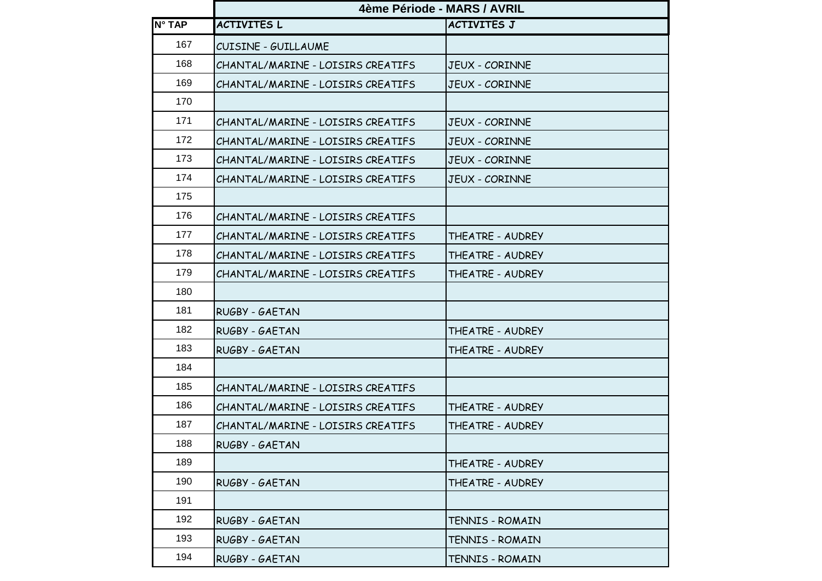|        | 4ème Période - MARS / AVRIL       |                       |
|--------|-----------------------------------|-----------------------|
| N° TAP | <b>ACTIVITES L</b>                | <b>ACTIVITES J</b>    |
| 167    | CUISINE - GUILLAUME               |                       |
| 168    | CHANTAL/MARINE - LOISIRS CREATIFS | <b>JEUX - CORINNE</b> |
| 169    | CHANTAL/MARINE - LOISIRS CREATIFS | <b>JEUX - CORINNE</b> |
| 170    |                                   |                       |
| 171    | CHANTAL/MARINE - LOISIRS CREATIFS | <b>JEUX - CORINNE</b> |
| 172    | CHANTAL/MARINE - LOISIRS CREATIFS | <b>JEUX - CORINNE</b> |
| 173    | CHANTAL/MARINE - LOISIRS CREATIFS | <b>JEUX - CORINNE</b> |
| 174    | CHANTAL/MARINE - LOISIRS CREATIFS | <b>JEUX - CORINNE</b> |
| 175    |                                   |                       |
| 176    | CHANTAL/MARINE - LOISIRS CREATIFS |                       |
| 177    | CHANTAL/MARINE - LOISIRS CREATIFS | THEATRE - AUDREY      |
| 178    | CHANTAL/MARINE - LOISIRS CREATIFS | THEATRE - AUDREY      |
| 179    | CHANTAL/MARINE - LOISIRS CREATIFS | THEATRE - AUDREY      |
| 180    |                                   |                       |
| 181    | RUGBY - GAETAN                    |                       |
| 182    | RUGBY - GAETAN                    | THEATRE - AUDREY      |
| 183    | RUGBY - GAETAN                    | THEATRE - AUDREY      |
| 184    |                                   |                       |
| 185    | CHANTAL/MARINE - LOISIRS CREATIFS |                       |
| 186    | CHANTAL/MARINE - LOISIRS CREATIFS | THEATRE - AUDREY      |
| 187    | CHANTAL/MARINE - LOISIRS CREATIFS | THEATRE - AUDREY      |
| 188    | RUGBY - GAETAN                    |                       |
| 189    |                                   | THEATRE - AUDREY      |
| 190    | RUGBY - GAETAN                    | THEATRE - AUDREY      |
| 191    |                                   |                       |
| 192    | RUGBY - GAETAN                    | TENNIS - ROMAIN       |
| 193    | RUGBY - GAETAN                    | TENNIS - ROMAIN       |
| 194    | RUGBY - GAETAN                    | TENNIS - ROMAIN       |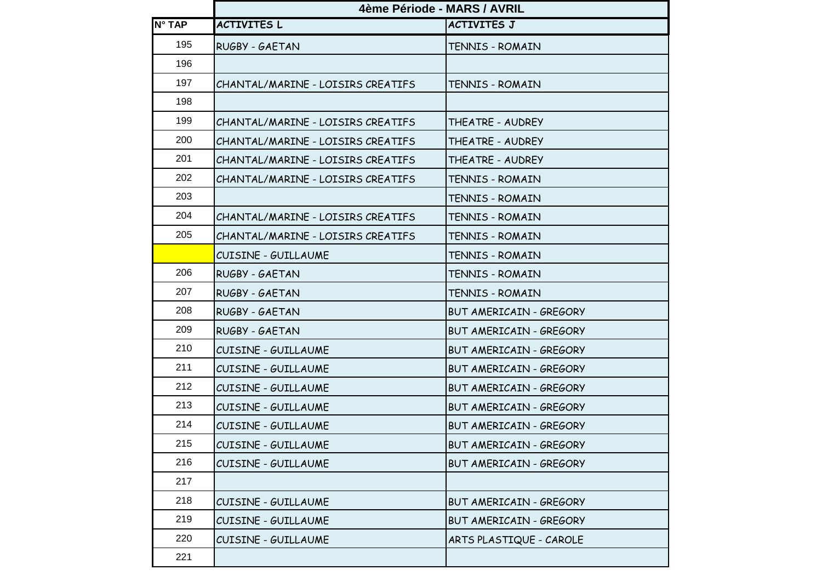|        | 4ème Période - MARS / AVRIL       |                                |
|--------|-----------------------------------|--------------------------------|
| N° TAP | <b>ACTIVITES L</b>                | <b>ACTIVITES J</b>             |
| 195    | RUGBY - GAETAN                    | TENNIS - ROMAIN                |
| 196    |                                   |                                |
| 197    | CHANTAL/MARINE - LOISIRS CREATIFS | TENNIS - ROMAIN                |
| 198    |                                   |                                |
| 199    | CHANTAL/MARINE - LOISIRS CREATIFS | THEATRE - AUDREY               |
| 200    | CHANTAL/MARINE - LOISIRS CREATIFS | THEATRE - AUDREY               |
| 201    | CHANTAL/MARINE - LOISIRS CREATIFS | THEATRE - AUDREY               |
| 202    | CHANTAL/MARINE - LOISIRS CREATIFS | TENNIS - ROMAIN                |
| 203    |                                   | TENNIS - ROMAIN                |
| 204    | CHANTAL/MARINE - LOISIRS CREATIFS | TENNIS - ROMAIN                |
| 205    | CHANTAL/MARINE - LOISIRS CREATIFS | TENNIS - ROMAIN                |
|        | CUISINE - GUILLAUME               | TENNIS - ROMAIN                |
| 206    | RUGBY - GAETAN                    | TENNIS - ROMAIN                |
| 207    | RUGBY - GAETAN                    | TENNIS - ROMAIN                |
| 208    | RUGBY - GAETAN                    | BUT AMERICAIN - GREGORY        |
| 209    | RUGBY - GAETAN                    | BUT AMERICAIN - GREGORY        |
| 210    | CUISINE - GUILLAUME               | BUT AMERICAIN - GREGORY        |
| 211    | CUISINE - GUILLAUME               | BUT AMERICAIN - GREGORY        |
| 212    | CUISINE - GUILLAUME               | BUT AMERICAIN - GREGORY        |
| 213    | CUISINE - GUILLAUME               | BUT AMERICAIN - GREGORY        |
| 214    | CUISINE - GUILLAUME               | BUT AMERICAIN - GREGORY        |
| 215    | CUISINE - GUILLAUME               | BUT AMERICAIN - GREGORY        |
| 216    | CUISINE - GUILLAUME               | <b>BUT AMERICAIN - GREGORY</b> |
| 217    |                                   |                                |
| 218    | CUISINE - GUILLAUME               | BUT AMERICAIN - GREGORY        |
| 219    | CUISINE - GUILLAUME               | BUT AMERICAIN - GREGORY        |
| 220    | CUISINE - GUILLAUME               | ARTS PLASTIQUE - CAROLE        |
| 221    |                                   |                                |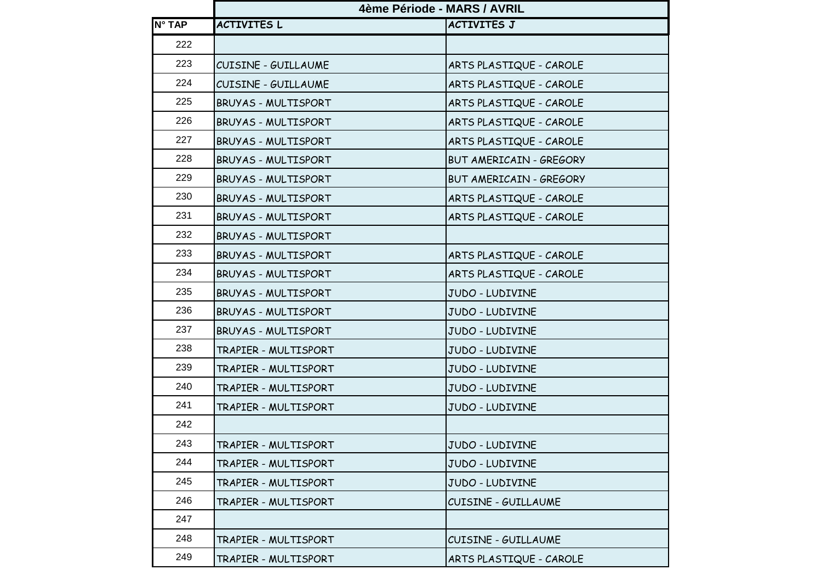|        | 4ème Période - MARS / AVRIL |                         |
|--------|-----------------------------|-------------------------|
| N° TAP | <b>ACTIVITES L</b>          | <b>ACTIVITES J</b>      |
| 222    |                             |                         |
| 223    | <b>CUISINE - GUILLAUME</b>  | ARTS PLASTIQUE - CAROLE |
| 224    | CUISINE - GUILLAUME         | ARTS PLASTIQUE - CAROLE |
| 225    | BRUYAS - MULTISPORT         | ARTS PLASTIQUE - CAROLE |
| 226    | BRUYAS - MULTISPORT         | ARTS PLASTIQUE - CAROLE |
| 227    | <b>BRUYAS - MULTISPORT</b>  | ARTS PLASTIQUE - CAROLE |
| 228    | <b>BRUYAS - MULTISPORT</b>  | BUT AMERICAIN - GREGORY |
| 229    | BRUYAS - MULTISPORT         | BUT AMERICAIN - GREGORY |
| 230    | BRUYAS - MULTISPORT         | ARTS PLASTIQUE - CAROLE |
| 231    | <b>BRUYAS - MULTISPORT</b>  | ARTS PLASTIQUE - CAROLE |
| 232    | <b>BRUYAS - MULTISPORT</b>  |                         |
| 233    | BRUYAS - MULTISPORT         | ARTS PLASTIQUE - CAROLE |
| 234    | BRUYAS - MULTISPORT         | ARTS PLASTIQUE - CAROLE |
| 235    | BRUYAS - MULTISPORT         | JUDO - LUDIVINE         |
| 236    | BRUYAS - MULTISPORT         | JUDO - LUDIVINE         |
| 237    | BRUYAS - MULTISPORT         | JUDO - LUDIVINE         |
| 238    | TRAPIER - MULTISPORT        | JUDO - LUDIVINE         |
| 239    | TRAPIER - MULTISPORT        | JUDO - LUDIVINE         |
| 240    | TRAPIER - MULTISPORT        | JUDO - LUDIVINE         |
| 241    | TRAPIER - MULTISPORT        | JUDO - LUDIVINE         |
| 242    |                             |                         |
| 243    | TRAPIER - MULTISPORT        | JUDO - LUDIVINE         |
| 244    | TRAPIER - MULTISPORT        | JUDO - LUDIVINE         |
| 245    | TRAPIER - MULTISPORT        | JUDO - LUDIVINE         |
| 246    | TRAPIER - MULTISPORT        | CUISINE - GUILLAUME     |
| 247    |                             |                         |
| 248    | TRAPIER - MULTISPORT        | CUISINE - GUILLAUME     |
| 249    | TRAPIER - MULTISPORT        | ARTS PLASTIQUE - CAROLE |